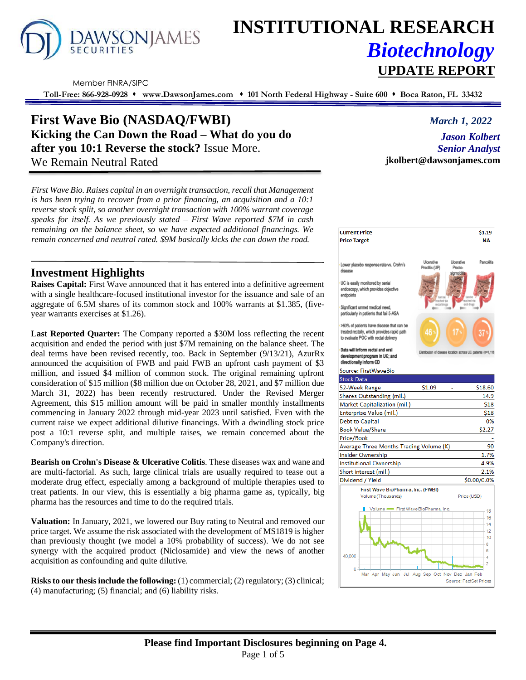

# **INSTITUTIONAL RESEARCH** *Biotechnology*

Member FINRA/SIPC

**Toll-Free: 866-928-0928** ⬧ **www.DawsonJames.com** ⬧ **101 North Federal Highway - Suite 600** ⬧ **Boca Raton, FL 33432**

# **First Wave Bio (NASDAQ/FWBI)** *March 1, 2022* **Kicking the Can Down the Road – What do you do after you 10:1 Reverse the stock?** Issue More. We Remain Neutral Rated

*First Wave Bio. Raises capital in an overnight transaction, recall that Management is has been trying to recover from a prior financing, an acquisition and a 10:1 reverse stock split, so another overnight transaction with 100% warrant coverage speaks for itself. As we previously stated – First Wave reported \$7M in cash remaining on the balance sheet, so we have expected additional financings. We remain concerned and neutral rated. \$9M basically kicks the can down the road.*

## **Investment Highlights**

**Raises Capital:** First Wave announced that it has entered into a definitive agreement with a single healthcare-focused institutional investor for the issuance and sale of an aggregate of 6.5M shares of its common stock and 100% warrants at \$1.385, (fiveyear warrants exercises at \$1.26).

**Last Reported Quarter:** The Company reported a \$30M loss reflecting the recent acquisition and ended the period with just \$7M remaining on the balance sheet. The deal terms have been revised recently, too. Back in September (9/13/21), AzurRx announced the acquisition of FWB and paid FWB an upfront cash payment of \$3 million, and issued \$4 million of common stock. The original remaining upfront consideration of \$15 million (\$8 million due on October 28, 2021, and \$7 million due March 31, 2022) has been recently restructured. Under the Revised Merger Agreement, this \$15 million amount will be paid in smaller monthly installments commencing in January 2022 through mid-year 2023 until satisfied. Even with the current raise we expect additional dilutive financings. With a dwindling stock price post a 10:1 reverse split, and multiple raises, we remain concerned about the Company's direction.

**Bearish on Crohn's Disease & Ulcerative Colitis**. These diseases wax and wane and are multi-factorial. As such, large clinical trials are usually required to tease out a moderate drug effect, especially among a background of multiple therapies used to treat patients. In our view, this is essentially a big pharma game as, typically, big pharma has the resources and time to do the required trials.

**Valuation:** In January, 2021, we lowered our Buy rating to Neutral and removed our price target. We assume the risk associated with the development of MS1819 is higher than previously thought (we model a 10% probability of success). We do not see synergy with the acquired product (Niclosamide) and view the news of another acquisition as confounding and quite dilutive.

**Risks to our thesis include the following:** (1) commercial; (2) regulatory; (3) clinical; (4) manufacturing; (5) financial; and (6) liability risks.

 $$1.19$ 

location across UC patients (n=1,118

*Jason Kolbert Senior Analyst* **jkolbert@dawsonjames.com**

**Price Target NA** Lower placebo response rate vs. Crohn's disease UC is easily monitored by serial endoscopy, which provides objective endpoints Significant unmet medical need. particularly in patients that fail 5-ASA >60% of patients have disease that can be

treated rectally, which provides rapid path to evaluate POC with rectal delivery

#### Data will inform rectal and oral pment program in UC; and directionally inform CD

Source: FirstWaveBio

#### **Stock Data**  $$1.09$ \$18.60 52-Week Range Shares Outstanding (mil.) 14.9 Market Capitalization (mil.) \$18 Enterprise Value (mil.) \$18 Debt to Capital 0% \$2.27 **Book Value/Share** Price/Book Average Three Months Trading Volume (K) 90 **Insider Ownership** 1.7% Institutional Ownership 4.9% Short interest (mil.) 2.1% Dividend / Yield \$0.00/0.0% First Wave BioPharma, Inc. (FWBI) Price (USD) Volume (Thousands) First Wave BioPharma, Ind 18 16  $\overline{14}$  $12$  $10$ 8  $\sf 6$ 40,000  $\overline{4}$  $\overline{2}$ Mar Apr May Jun Jul Aug Sep Oct Nov Dec Jan Feb Source: FactSet Prices

# **UPDATE REPORT**

**Current Price** 

**Please find Important Disclosures beginning on Page 4.** Page 1 of 5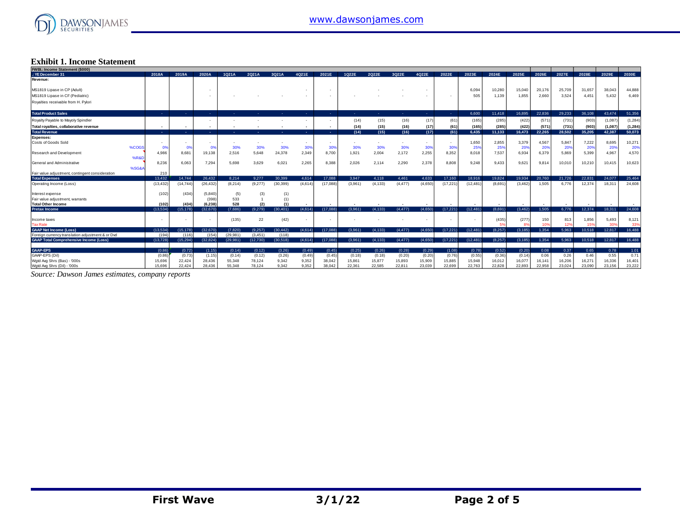

#### **Exhibit 1. Income Statement**

| <b>FWBI.: Income Statement (\$000)</b>           |                |                |                          |          |          |           |                |          |         |          |          |                          |            |           |         |          |        |        |        |                 |          |
|--------------------------------------------------|----------------|----------------|--------------------------|----------|----------|-----------|----------------|----------|---------|----------|----------|--------------------------|------------|-----------|---------|----------|--------|--------|--------|-----------------|----------|
| .: YE December 31                                | 2018A          | 2019A          | 2020A                    | 1021A    | 2021A    | 3Q21A     | 4021E          | 2021E    | 1022E   | 2022E    | 3022E    | 4022E                    | 2022E      | 2023E     | 2024E   | 2025E    | 2026E  | 2027E  | 2028E  | 2029E           | 2030E    |
| Revenue:                                         |                |                |                          |          |          |           |                |          |         |          |          |                          |            |           |         |          |        |        |        |                 |          |
| MS1819 Lipase in CP (Adult)                      |                |                | $\overline{\phantom{a}}$ |          |          |           |                |          |         |          |          |                          |            | 6,094     | 10.280  | 15,040   | 20,176 | 25,709 | 31,657 | 38,043          | 44,888   |
| MS1819 Lipase in CF (Pediatric)                  |                |                |                          |          |          |           |                |          |         |          |          |                          |            | 505       | 1.139   | 1,855    | 2,660  | 3,524  | 4.451  | 5.432           | 6,469    |
| Royalties receivable from H. Pylori              |                |                |                          |          |          |           |                |          |         |          |          |                          |            |           |         |          |        |        |        |                 |          |
| <b>Total Product Sales</b>                       | <b>CALL</b>    |                | <b>A</b>                 |          |          |           | <b>Section</b> | - 11     |         | <b>.</b> | . н.     | <b>College</b>           | <b>COL</b> | 6.600     | 11,418  | 16.895   | 22.836 | 29.233 | 36.108 | 43.474          | 51,356   |
| Royalty Payable to Mayoly Spindler               |                |                |                          |          |          |           |                |          | (14)    | (15)     | (16)     | (17)                     | (61)       | (165)     | (285)   | (422)    | (571)  | (731)  | (903)  | (1,087)         | (1, 284) |
| Total royalties, collaborative revenue           |                |                | $\overline{\phantom{a}}$ |          |          |           |                |          | (14)    | (15)     | (16)     | (17)                     | (61)       | (165)     | (285)   | (422)    | (571   | (731)  | (903)  | (1,087)         | (1, 284) |
| <b>Total Revenue</b>                             | <b>Section</b> | ۰.             | н.                       |          |          |           |                | ۰.       | (14)    | (15)     | (16)     | (17)                     | (61)       | 6,435     | 11.133  | 16.473   | 22.265 | 28.502 | 35.205 | 42,387          | 50,073   |
| <b>Expenses:</b>                                 |                |                |                          |          |          |           |                |          |         |          |          |                          |            |           |         |          |        |        |        |                 |          |
| Costs of Goods Sold                              |                |                |                          |          |          |           |                |          |         |          |          | $\overline{\phantom{a}}$ | $\sim$     | 1,650     | 2,855   | 3,379    | 4,567  | 5,847  | 7,222  | 8.695           | 10,271   |
| %COGS                                            | 0%             | 0 <sup>9</sup> | 0%                       | 30%      | 30%      | 30%       | 309            | 30%      | 30%     | 30%      | 30%      | 309                      | 30%        | 25%       | 25%     | 20%      | 20%    | 20%    | 20%    | 20%             | 20%      |
| Research and Development                         | 4.986          | 8.681          | 19,138                   | 2.516    | 5.648    | 24,378    | 2,349          | 8,700    | 1,921   | 2,004    | 2,172    | 2,255                    | 8.352      | 8,018     | 7.537   | 6,934    | 6,379  | 5,869  | 5,399  | 4.967           | 4,570    |
| <b>%R&amp;D</b>                                  |                |                |                          |          |          |           |                |          |         |          |          |                          |            |           |         |          |        |        |        |                 |          |
| General and Administrative                       | 8,236          | 6.063          | 7,294                    | 5,698    | 3,629    | 6,021     | 2,265          | 8,388    | 2,026   | 2,114    | 2,290    | 2,378                    | 8,808      | 9,248     | 9.433   | 9,621    | 9,814  | 10,010 | 10,210 | 10.415          | 10,623   |
| %SG&A                                            |                |                |                          |          |          |           |                |          |         |          |          |                          |            |           |         |          |        |        |        |                 |          |
| Fair value adjustment, contingent consideration  | 210            |                |                          |          |          |           |                |          |         |          |          |                          |            |           |         |          |        |        |        |                 |          |
| <b>Total Expenses</b>                            | 13.432         | 14.744         | 26.432                   | 8.214    | 9.277    | 30.399    | 4.614          | 17.088   | 3.947   | 4.118    | 4.461    | 4.633                    | 17.160     | 18.916    | 19.824  | 19.934   | 20.760 | 21.726 | 22.831 | 24.077          | 25,464   |
| Operating Income (Loss)                          | (13, 432)      | (14, 744)      | (26, 432)                | (8, 214) | (9,277)  | (30, 399) | (4,614)        | (17,088) | (3,961) | (4, 133) | (4, 477) | (4,650)                  | (17, 221)  | (12, 481) | (8,691) | (3, 462) | 1,505  | 6.776  | 12.374 | 18.311          | 24,608   |
| Interest expense                                 | (102)          | (434)          | (5,840)                  | (5)      | (3)      | (1)       |                |          |         |          |          |                          |            |           |         |          |        |        |        |                 |          |
| Fair value adjustment, warrants                  |                |                | (398)                    | 533      |          | (1)       |                |          |         |          |          |                          |            |           |         |          |        |        |        |                 |          |
| <b>Total Other Income</b>                        | (102)          | (434)          | (6.238)                  | 528      | (2)      | (1)       |                |          |         |          |          |                          |            |           |         |          |        |        |        |                 |          |
| <b>Pretax Income</b>                             | (13,534)       | (15.178)       | (32, 670)                | (7,686)  | (9,279)  | (30, 401) | (4,614)        | (17,088) | (3.961) | (4.133)  | (4, 477) | (4,650)                  | (17, 221)  | (12, 481) | (8,691) | (3,462)  | 1,505  | 6,776  | 12.374 | 18,311          | 24,608   |
|                                                  |                |                |                          |          |          |           |                |          |         |          |          |                          |            |           |         |          |        |        |        |                 |          |
| Income taxes                                     |                |                |                          | (135)    | 22       | (42)      |                |          |         |          |          |                          |            |           | (435)   | (277)    | 150    | 813    | 1,856  | 5,493           | 8,121    |
| <b>Tax Rate</b>                                  |                |                |                          |          |          |           |                |          |         |          |          |                          |            |           |         |          | 10%    | 129    | 15%    | 30 <sup>o</sup> | 33%      |
| <b>GAAP Net Income (Loss)</b>                    | (13,534)       | (15.178)       | (32.670)                 | (7.820)  | (9.257)  | (30.442)  | (4.614)        | (17,088) | (3,961) | (4.133)  | (4, 477) | (4,650)                  | (17, 221)  | (12, 481) | (8,257) | (3, 185) | 1,354  | 5.963  | 10,518 | 12,817          | 16,488   |
| Foreign currency translation adjustment & or Dvd | (194)          | (116)          | (154)                    | (29.981) | (3, 451) | (118)     |                |          |         |          |          |                          |            |           |         |          |        |        |        |                 |          |
| <b>GAAP Total Comprehensive Income (Loss)</b>    | (13, 728)      | (15.294)       | (32.824)                 | (29.981) | (12,730) | (30.518)  | (4,614)        | (17.088) | (3.961) | (4, 133) | (4, 477) | (4,650)                  | (17, 221)  | (12, 481) | (8.257) | (3, 185) | 1.354  | 5.963  | 10.518 | 12,817          | 16,488   |
| <b>GAAP-EPS</b>                                  | (0.86)         | (0.72)         | (1.15)                   | (0.14)   | (0.12)   | (3.26)    | (0.49)         | (0.45)   | (0.25)  | (0.26)   | (0.28)   | (0.29)                   | (1.08)     | (0.78)    | (0.52)  | (0.20)   | 0.08   | 0.37   | 0.65   | 0.78            | 1.01     |
| GAAP-EPS (Dil)                                   | (0.86)         | (0.73)         | (1.15)                   | (0.14)   | (0.12)   | (3.26)    | (0.49)         | (0.45)   | (0.18)  | (0.18)   | (0.20)   | (0.20)                   | (0.76)     | (0.55)    | (0.36)  | (0.14)   | 0.06   | 0.26   | 0.46   | 0.55            | 0.71     |
| Wgtd Avg Shrs (Bas) - '000s                      | 15,696         | 22.424         | 28.436                   | 55.348   | 78.124   | 9.342     | 9,352          | 38.042   | 15.861  | 15,877   | 15,893   | 15,909                   | 15.885     | 15,948    | 16.012  | 16,077   | 16,141 | 16,206 | 16,271 | 16.336          | 16,401   |
| Wgtd Avg Shrs (Dil) - '000s                      | 15,696         | 22.424         | 28,436                   | 55,348   | 78,124   | 9.342     | 9,352          | 38,042   | 22,361  | 22,585   | 22.81    | 23,039                   | 22,699     | 22,763    | 22,828  | 22,893   | 22,958 | 23.024 | 23,090 | 23,156          | 23,222   |

*Source: Dawson James estimates, company reports*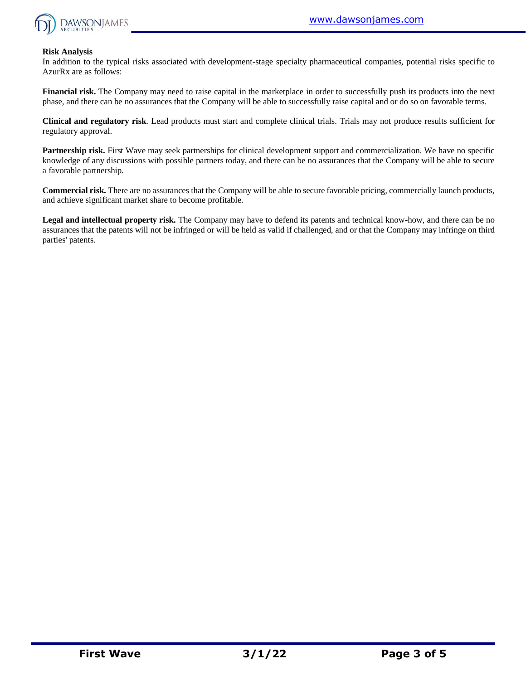

#### **Risk Analysis**

In addition to the typical risks associated with development-stage specialty pharmaceutical companies, potential risks specific to AzurRx are as follows:

**Financial risk.** The Company may need to raise capital in the marketplace in order to successfully push its products into the next phase, and there can be no assurances that the Company will be able to successfully raise capital and or do so on favorable terms.

**Clinical and regulatory risk**. Lead products must start and complete clinical trials. Trials may not produce results sufficient for regulatory approval.

Partnership risk. First Wave may seek partnerships for clinical development support and commercialization. We have no specific knowledge of any discussions with possible partners today, and there can be no assurances that the Company will be able to secure a favorable partnership.

**Commercial risk.** There are no assurances that the Company will be able to secure favorable pricing, commercially launch products, and achieve significant market share to become profitable.

**Legal and intellectual property risk.** The Company may have to defend its patents and technical know-how, and there can be no assurances that the patents will not be infringed or will be held as valid if challenged, and or that the Company may infringe on third parties' patents.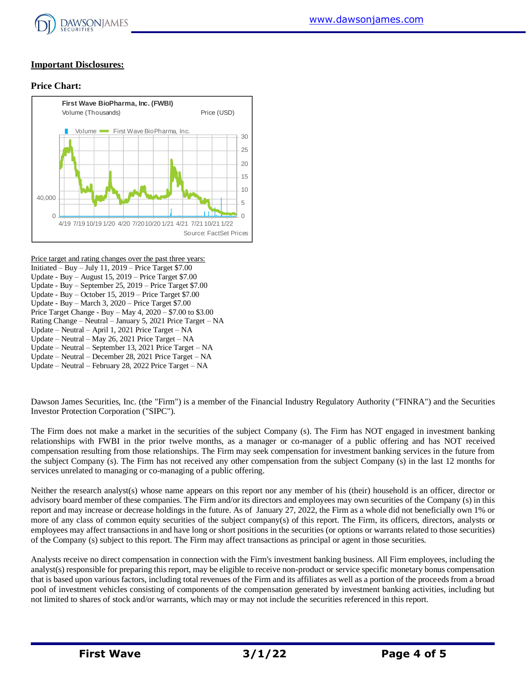

#### **Important Disclosures:**

#### **Price Chart:**



Price target and rating changes over the past three years: Initiated – Buy – July 11,  $2019$  – Price Target \$7.00 Update - Buy – August 15, 2019 – Price Target \$7.00 Update - Buy – September 25, 2019 – Price Target \$7.00 Update - Buy – October 15, 2019 – Price Target \$7.00 Update - Buy – March 3, 2020 – Price Target \$7.00 Price Target Change - Buy – May 4, 2020 – \$7.00 to \$3.00 Rating Change – Neutral – January 5, 2021 Price Target – NA Update – Neutral – April 1, 2021 Price Target – NA Update – Neutral – May 26, 2021 Price Target – NA Update – Neutral – September 13, 2021 Price Target – NA Update – Neutral – December 28, 2021 Price Target – NA Update – Neutral – February 28, 2022 Price Target – NA

Dawson James Securities, Inc. (the "Firm") is a member of the Financial Industry Regulatory Authority ("FINRA") and the Securities Investor Protection Corporation ("SIPC").

The Firm does not make a market in the securities of the subject Company (s). The Firm has NOT engaged in investment banking relationships with FWBI in the prior twelve months, as a manager or co-manager of a public offering and has NOT received compensation resulting from those relationships. The Firm may seek compensation for investment banking services in the future from the subject Company (s). The Firm has not received any other compensation from the subject Company (s) in the last 12 months for services unrelated to managing or co-managing of a public offering.

Neither the research analyst(s) whose name appears on this report nor any member of his (their) household is an officer, director or advisory board member of these companies. The Firm and/or its directors and employees may own securities of the Company (s) in this report and may increase or decrease holdings in the future. As of January 27, 2022, the Firm as a whole did not beneficially own 1% or more of any class of common equity securities of the subject company(s) of this report. The Firm, its officers, directors, analysts or employees may affect transactions in and have long or short positions in the securities (or options or warrants related to those securities) of the Company (s) subject to this report. The Firm may affect transactions as principal or agent in those securities.

Analysts receive no direct compensation in connection with the Firm's investment banking business. All Firm employees, including the analyst(s) responsible for preparing this report, may be eligible to receive non-product or service specific monetary bonus compensation that is based upon various factors, including total revenues of the Firm and its affiliates as well as a portion of the proceeds from a broad pool of investment vehicles consisting of components of the compensation generated by investment banking activities, including but not limited to shares of stock and/or warrants, which may or may not include the securities referenced in this report.